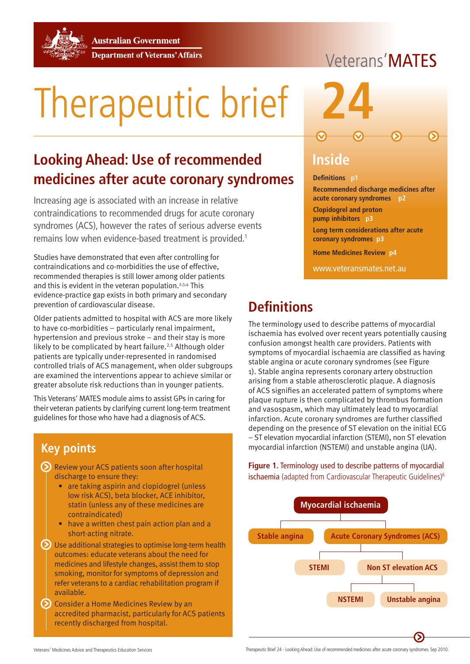**Australian Government** 



**Department of Veterans' Affairs** 

# Therapeutic brief **24**

## **Looking Ahead: Use of recommended medicines after acute coronary syndromes**

Increasing age is associated with an increase in relative contraindications to recommended drugs for acute coronary syndromes (ACS), however the rates of serious adverse events remains low when evidence-based treatment is provided.1

Studies have demonstrated that even after controlling for contraindications and co-morbidities the use of effective, recommended therapies is still lower among older patients and this is evident in the veteran population.<sup>2,3,4</sup> This evidence-practice gap exists in both primary and secondary prevention of cardiovascular disease.

Older patients admitted to hospital with ACS are more likely to have co-morbidities – particularly renal impairment, hypertension and previous stroke – and their stay is more likely to be complicated by heart failure.<sup>2,5</sup> Although older patients are typically under-represented in randomised controlled trials of ACS management, when older subgroups are examined the interventions appear to achieve similar or greater absolute risk reductions than in younger patients.

This Veterans' MATES module aims to assist GPs in caring for their veteran patients by clarifying current long-term treatment guidelines for those who have had a diagnosis of ACS.

## **Key points**

- Review your ACS patients soon after hospital discharge to ensure they:
	- are taking aspirin and clopidogrel (unless low risk ACS), beta blocker, ACE inhibitor, statin (unless any of these medicines are contraindicated)
	- have a written chest pain action plan and a short-acting nitrate.
- Use additional strategies to optimise long-term health outcomes: educate veterans about the need for medicines and lifestyle changes, assist them to stop smoking, monitor for symptoms of depression and refer veterans to a cardiac rehabilitation program if available.
- Consider a Home Medicines Review by an accredited pharmacist, particularly for ACS patients recently discharged from hospital.

## Veterans'MATFS



## **Inside**

#### **Definitions p1**

**Recommended discharge medicines after acute coronary syndromes p2 Clopidogrel and proton pump inhibitors p3 Long term considerations after acute coronary syndromes p3**

**Home Medicines Review p4**

www.veteransmates.net.au

## **Definitions**

The terminology used to describe patterns of myocardial ischaemia has evolved over recent years potentially causing confusion amongst health care providers. Patients with symptoms of myocardial ischaemia are classified as having stable angina or acute coronary syndromes (see Figure 1). Stable angina represents coronary artery obstruction arising from a stable atherosclerotic plaque. A diagnosis of ACS signifies an accelerated pattern of symptoms where plaque rupture is then complicated by thrombus formation and vasospasm, which may ultimately lead to myocardial infarction. Acute coronary syndromes are further classified depending on the presence of ST elevation on the initial ECG – ST elevation myocardial infarction (STEMI), non ST elevation myocardial infarction (NSTEMI) and unstable angina (UA).

**Figure 1.** Terminology used to describe patterns of myocardial ischaemia (adapted from Cardiovascular Therapeutic Guidelines)<sup>6</sup>

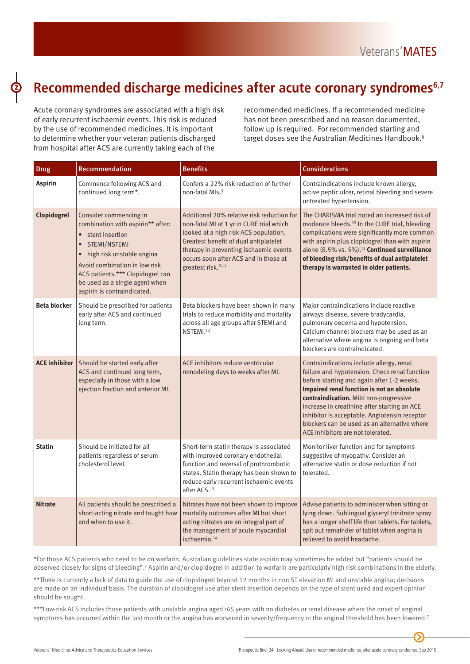## **Recommended discharge medicines after acute coronary syndromes6,7**

Acute coronary syndromes are associated with a high risk of early recurrent ischaemic events. This risk is reduced by the use of recommended medicines. It is important to determine whether your veteran patients discharged from hospital after ACS are currently taking each of the

recommended medicines. If a recommended medicine has not been prescribed and no reason documented, follow up is required. For recommended starting and target doses see the Australian Medicines Handbook.<sup>8</sup>

| <b>Drug</b>          | Recommendation                                                                                                                                                                                                                                                                                | <b>Benefits</b>                                                                                                                                                                                                                                                                               | <b>Considerations</b>                                                                                                                                                                                                                                                                                                                                                                                                 |
|----------------------|-----------------------------------------------------------------------------------------------------------------------------------------------------------------------------------------------------------------------------------------------------------------------------------------------|-----------------------------------------------------------------------------------------------------------------------------------------------------------------------------------------------------------------------------------------------------------------------------------------------|-----------------------------------------------------------------------------------------------------------------------------------------------------------------------------------------------------------------------------------------------------------------------------------------------------------------------------------------------------------------------------------------------------------------------|
| <b>Aspirin</b>       | Commence following ACS and<br>continued long term*.                                                                                                                                                                                                                                           | Confers a 22% risk reduction of further<br>non-fatal MIs. <sup>9</sup>                                                                                                                                                                                                                        | Contraindications include known allergy,<br>active peptic ulcer, retinal bleeding and severe<br>untreated hypertension.                                                                                                                                                                                                                                                                                               |
| Clopidogrel          | Consider commencing in<br>combination with aspirin** after:<br>• stent insertion<br>STEMI/NSTEMI<br>$\bullet$<br>high risk unstable angina<br>$\bullet$<br>Avoid combination in low risk<br>ACS patients.*** Clopidogrel can<br>be used as a single agent when<br>aspirin is contraindicated. | Additional 20% relative risk reduction for<br>non-fatal MI at 1 yr in CURE trial which<br>looked at a high risk ACS population.<br>Greatest benefit of dual antiplatelet<br>therapy in preventing ischaemic events<br>occurs soon after ACS and in those at<br>greatest risk. <sup>9,11</sup> | The CHARISMA trial noted an increased risk of<br>moderate bleeds. <sup>10</sup> In the CURE trial, bleeding<br>complications were significantly more common<br>with aspirin plus clopidogrel than with aspirin<br>alone (8.5% vs. 5%). <sup>11</sup> Continued surveillance<br>of bleeding risk/benefits of dual antiplatelet<br>therapy is warranted in older patients.                                              |
| <b>Beta blocker</b>  | Should be prescribed for patients<br>early after ACS and continued<br>long term.                                                                                                                                                                                                              | Beta blockers have been shown in many<br>trials to reduce morbidity and mortality<br>across all age groups after STEMI and<br>NSTEMI. <sup>12</sup>                                                                                                                                           | Major contraindications include reactive<br>airways disease, severe bradycardia,<br>pulmonary oedema and hypotension.<br>Calcium channel blockers may be used as an<br>alternative where angina is ongoing and beta<br>blockers are contraindicated.                                                                                                                                                                  |
| <b>ACE inhibitor</b> | Should be started early after<br>ACS and continued long term,<br>especially in those with a low<br>ejection fraction and anterior MI.                                                                                                                                                         | ACE inhibitors reduce ventricular<br>remodeling days to weeks after MI.                                                                                                                                                                                                                       | Contraindications include allergy, renal<br>failure and hypotension. Check renal function<br>before starting and again after 1-2 weeks.<br>Impaired renal function is not an absolute<br>contraindication. Mild non-progressive<br>increase in creatinine after starting an ACE<br>inhibitor is acceptable. Angiotensin receptor<br>blockers can be used as an alternative where<br>ACE inhibitors are not tolerated. |
| <b>Statin</b>        | Should be initiated for all<br>patients regardless of serum<br>cholesterol level.                                                                                                                                                                                                             | Short-term statin therapy is associated<br>with improved coronary endothelial<br>function and reversal of prothrombotic<br>states. Statin therapy has been shown to<br>reduce early recurrent ischaemic events<br>after ACS. <sup>13</sup>                                                    | Monitor liver function and for symptoms<br>suggestive of myopathy. Consider an<br>alternative statin or dose reduction if not<br>tolerated.                                                                                                                                                                                                                                                                           |
| <b>Nitrate</b>       | All patients should be prescribed a<br>short-acting nitrate and taught how<br>and when to use it.                                                                                                                                                                                             | Nitrates have not been shown to improve<br>mortality outcomes after MI but short<br>acting nitrates are an integral part of<br>the management of acute myocardial<br>ischaemia. <sup>14</sup>                                                                                                 | Advise patients to administer when sitting or<br>lying down. Sublingual glyceryl trinitrate spray<br>has a longer shelf life than tablets. For tablets,<br>spit out remainder of tablet when angina is<br>relieved to avoid headache.                                                                                                                                                                                 |

\*For those ACS patients who need to be on warfarin, Australian guidelines state aspirin may sometimes be added but "patients should be observed closely for signs of bleeding".<sup>7</sup> Aspirin and/or clopidogrel in addition to warfarin are particularly high risk combinations in the elderly.

\*\*There is currently a lack of data to guide the use of clopidogrel beyond 12 months in non ST elevation MI and unstable angina; decisions are made on an individual basis. The duration of clopidogrel use after stent insertion depends on the type of stent used and expert opinion should be sought.

\*\*\*Low-risk ACS includes those patients with unstable angina aged <65 years with no diabetes or renal disease where the onset of anginal symptoms has occurred within the last month or the angina has worsened in severity/frequency or the anginal threshold has been lowered.<sup>7</sup>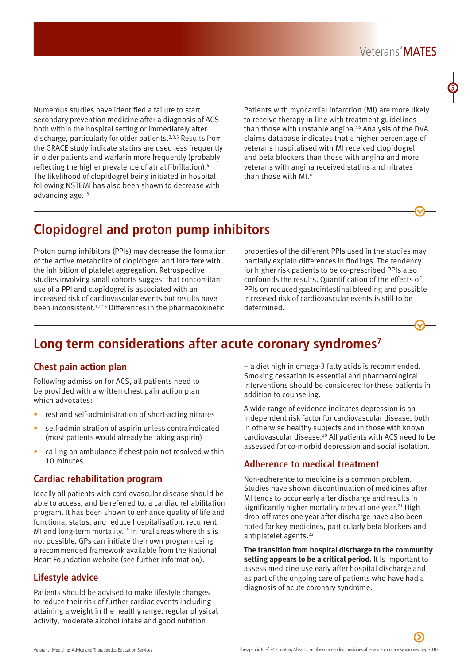Numerous studies have identified a failure to start secondary prevention medicine after a diagnosis of ACS both within the hospital setting or immediately after discharge, particularly for older patients.<sup>2,3,5</sup> Results from the GRACE study indicate statins are used less frequently in older patients and warfarin more frequently (probably reflecting the higher prevalence of atrial fibrillation).5 The likelihood of clopidogrel being initiated in hospital following NSTEMI has also been shown to decrease with advancing age.15

Patients with myocardial infarction (MI) are more likely to receive therapy in line with treatment guidelines than those with unstable angina.<sup>16</sup> Analysis of the DVA claims database indicates that a higher percentage of veterans hospitalised with MI received clopidogrel and beta blockers than those with angina and more veterans with angina received statins and nitrates than those with MI.4

## **Clopidogrel and proton pump inhibitors**

Proton pump inhibitors (PPIs) may decrease the formation of the active metabolite of clopidogrel and interfere with the inhibition of platelet aggregation. Retrospective studies involving small cohorts suggest that concomitant use of a PPI and clopidogrel is associated with an increased risk of cardiovascular events but results have been inconsistent.17,18 Differences in the pharmacokinetic

properties of the different PPIs used in the studies may partially explain differences in findings. The tendency for higher risk patients to be co-prescribed PPIs also confounds the results. Quantification of the effects of PPIs on reduced gastrointestinal bleeding and possible increased risk of cardiovascular events is still to be determined.

## **Long term considerations after acute coronary syndromes7**

#### **Chest pain action plan**

Following admission for ACS, all patients need to be provided with a written chest pain action plan which advocates:

- rest and self-administration of short-acting nitrates
- self-administration of aspirin unless contraindicated (most patients would already be taking aspirin)
- calling an ambulance if chest pain not resolved within 10 minutes.

#### **Cardiac rehabilitation program**

Ideally all patients with cardiovascular disease should be able to access, and be referred to, a cardiac rehabilitation program. It has been shown to enhance quality of life and functional status, and reduce hospitalisation, recurrent MI and long-term mortality.<sup>19</sup> In rural areas where this is not possible, GPs can initiate their own program using a recommended framework available from the National Heart Foundation website (see further information).

#### **Lifestyle advice**

Patients should be advised to make lifestyle changes to reduce their risk of further cardiac events including attaining a weight in the healthy range, regular physical activity, moderate alcohol intake and good nutrition

– a diet high in omega-3 fatty acids is recommended. Smoking cessation is essential and pharmacological interventions should be considered for these patients in addition to counseling.

A wide range of evidence indicates depression is an independent risk factor for cardiovascular disease, both in otherwise healthy subjects and in those with known cardiovascular disease.20 All patients with ACS need to be assessed for co-morbid depression and social isolation.

#### **Adherence to medical treatment**

Non-adherence to medicine is a common problem. Studies have shown discontinuation of medicines after MI tends to occur early after discharge and results in significantly higher mortality rates at one year.<sup>21</sup> High drop-off rates one year after discharge have also been noted for key medicines, particularly beta blockers and antiplatelet agents.<sup>22</sup>

**The transition from hospital discharge to the community setting appears to be a critical period.** It is important to assess medicine use early after hospital discharge and as part of the ongoing care of patients who have had a diagnosis of acute coronary syndrome.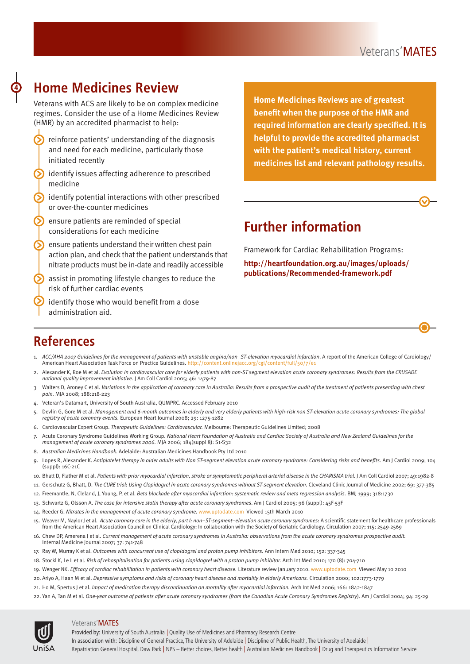## **Home Medicines Review**

Veterans with ACS are likely to be on complex medicine regimes. Consider the use of a Home Medicines Review (HMR) by an accredited pharmacist to help:

- reinforce patients' understanding of the diagnosis and need for each medicine, particularly those initiated recently
- $\odot$  identify issues affecting adherence to prescribed medicine
- identify potential interactions with other prescribed or over-the-counter medicines
- ensure patients are reminded of special considerations for each medicine
- ensure patients understand their written chest pain 6 action plan, and check that the patient understands that nitrate products must be in-date and readily accessible
- assist in promoting lifestyle changes to reduce the ဂ risk of further cardiac events
- identify those who would benefit from a dose administration aid.

**Home Medicines Reviews are of greatest benefit when the purpose of the HMR and required information are clearly specified. It is helpful to provide the accredited pharmacist with the patient's medical history, current medicines list and relevant pathology results.** 

## **Further information**

Framework for Cardiac Rehabilitation Programs:

**[http://heartfoundation.org.au/images/uploads/](http://heartfoundation.org.au/images/uploads/publications/Recommended-framework.pdf) [publications/Recommended-framework.pdf](http://heartfoundation.org.au/images/uploads/publications/Recommended-framework.pdf)**

## **References**

- 1. ACC/AHA 2007 Guidelines for the management of patients with unstable angina/non–ST-elevation myocardial infarction. A report of the American College of Cardiology/ American Heart Association Task Force on Practice Guidelines. http://content.onlinejacc.org/cgi/content/full/50/7/e1
- 2. Alexander K, Roe M et al. *Evolution in cardiovascular care for elderly patients with non-ST segment elevation acute coronary syndromes: Results from the CRUSADE national quality improvement initiative.* J Am Coll Cardiol 2005; 46: 1479-87
- 3 Walters D, Aroney C et al. *Variations in the application of coronary care in Australia: Results from a prospective audit of the treatment of patients presenting with chest pain.* MJA 2008; 188:218-223
- 4. Veteran's Datamart, University of South Australia, QUMPRC. Accessed February 2010
- 5. Devlin G, Gore M et al. *Management and 6-month outcomes in elderly and very elderly patients with high-risk non ST-elevation acute coronary syndromes: The global registry of acute coronary events.* European Heart Journal 2008; 29: 1275-1282
- 6. Cardiovascular Expert Group. *Therapeutic Guidelines: Cardiovascular.* Melbourne: Therapeutic Guidelines Limited; 2008
- 7. Acute Coronary Syndrome Guidelines Working Group. *National Heart Foundation of Australia and Cardiac Society of Australia and New Zealand Guidelines for the management of acute coronary syndromes 2006.* MJA 2006; 184(suppl 8): S1-S32
- 8. *Australian Medicines Handbook*. Adelaide: Australian Medicines Handbook Pty Ltd 2010
- 9. Lopes R, Alexander K. *Antiplatelet therapy in older adults with Non ST-segment elevation acute coronary syndrome: Considering risks and benefits.* Am J Cardiol 2009; 104 (suppl): 16C-21C
- 10. Bhatt D, Flather M et al. *Patients with prior myocardial infarction, stroke or symptomatic peripheral arterial disease in the CHARISMA trial.* J Am Coll Cardiol 2007; 49:1982-8
- 11. Gerschutz G, Bhatt, D. *The CURE trial: Using Clopidogrel in acute coronary syndromes without ST-segment elevation.* Cleveland Clinic Journal of Medicine 2002; 69; 377-385
- 12. Freemantle, N, Cleland, J, Young, P, et al. *Beta blockade after myocardial infarction: systematic review and meta regression analysis.* BMJ 1999; 318:1730
- 13. Schwartz G, Olsson A. *The case for intensive statin therapy after acute coronary syndromes*. Am J Cardiol 2005; 96 (suppl): 45F-53F
- 14. Reeder G. *Nitrates in the management of acute coronary syndrome.* www.uptodate.com Viewed 15th March 2010
- 15. Weaver M, Naylor J et al. *Acute coronary care in the elderly, part I: non–ST-segment–elevation acute coronary syndromes*: A scientific statement for healthcare professionals from the American Heart Association Council on Clinical Cardiology: In collaboration with the Society of Geriatric Cardiology. Circulation 2007; 115; 2549-2569
- 16. Chew DP, Amerena J et al. *Current management of acute coronary syndromes in Australia: observations from the acute coronary syndromes prospective audit.* Internal Medicine Journal 2007; 37: 741-748
- 17. Ray W, Murray K et al. *Outcomes with concurrent use of clopidogrel and proton pump inhibitors.* Ann Intern Med 2010; 152: 337-345
- 18. Stockl K, Le L et al. *Risk of rehospitalisation for patients using clopidogrel with a proton pump inhibitor.* Arch Int Med 2010; 170 (8): 704-710
- 19. Wenger NK. *Efficacy of cardiac rehabilitation in patients with coronary heart disease.* Literature review January 2010. www.uptodate.com Viewed May 10 2010
- 20. Ariyo A, Haan M et al. *Depressive symptoms and risks of coronary heart disease and mortality in elderly Americans.* Circulation 2000; 102:1773-1779
- 21. Ho M, Spertus J et al. *Impact of medication therapy discontinuation on mortality after myocardial infarction.* Arch Int Med 2006; 166: 1842-1847
- 22. Yan A, Tan M et al. *One-year outcome of patients after acute coronary syndromes (from the Canadian Acute Coronary Syndromes Registry*). Am J Cardiol 2004; 94: 25-29



#### Veterans' MATES

Provided by: University of South Australia | Quality Use of Medicines and Pharmacy Research Centre In association with: Discipline of General Practice, The University of Adelaide | Discipline of Public Health, The University of Adelaide | Repatriation General Hospital, Daw Park | NPS – Better choices, Better health | Australian Medicines Handbook | Drug and Therapeutics Information Service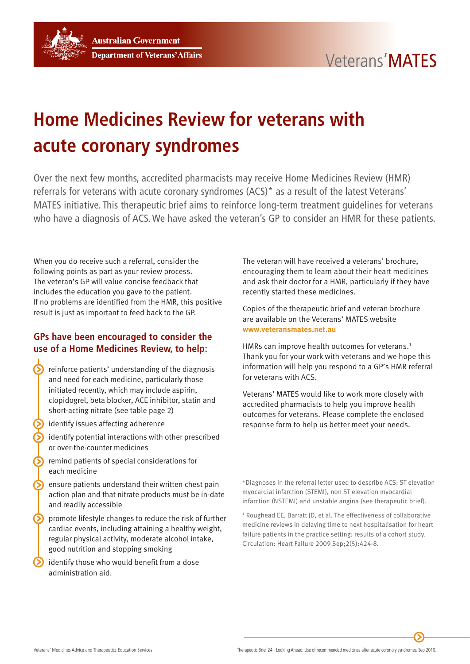

# **Home Medicines Review for veterans with acute coronary syndromes**

Over the next few months, accredited pharmacists may receive Home Medicines Review (HMR) referrals for veterans with acute coronary syndromes (ACS)\* as a result of the latest Veterans' MATES initiative. This therapeutic brief aims to reinforce long-term treatment guidelines for veterans who have a diagnosis of ACS. We have asked the veteran's GP to consider an HMR for these patients.

When you do receive such a referral, consider the following points as part as your review process. The veteran's GP will value concise feedback that includes the education you gave to the patient. If no problems are identified from the HMR, this positive result is just as important to feed back to the GP.

#### **GPs have been encouraged to consider the use of a Home Medicines Review, to help:**

- reinforce patients' understanding of the diagnosis and need for each medicine, particularly those initiated recently, which may include aspirin, clopidogrel, beta blocker, ACE inhibitor, statin and short-acting nitrate (see table page 2)
- identify issues affecting adherence
- identify potential interactions with other prescribed or over-the-counter medicines
- remind patients of special considerations for each medicine
- ensure patients understand their written chest pain action plan and that nitrate products must be in-date and readily accessible
- promote lifestyle changes to reduce the risk of further cardiac events, including attaining a healthy weight, regular physical activity, moderate alcohol intake, good nutrition and stopping smoking
- identify those who would benefit from a dose administration aid.

The veteran will have received a veterans' brochure, encouraging them to learn about their heart medicines and ask their doctor for a HMR, particularly if they have recently started these medicines.

Copies of the therapeutic brief and veteran brochure are available on the Veterans' MATES website **[www.veteransmates.net.au](http://www.veteransmates.net.au)**

HMRs can improve health outcomes for veterans.<sup>1</sup> Thank you for your work with veterans and we hope this information will help you respond to a GP's HMR referral for veterans with ACS.

Veterans' MATES would like to work more closely with accredited pharmacists to help you improve health outcomes for veterans. Please complete the enclosed response form to help us better meet your needs.

<sup>\*</sup>Diagnoses in the referral letter used to describe ACS: ST elevation myocardial infarction (STEMI), non ST elevation myocardial infarction (NSTEMI) and unstable angina (see therapeutic brief).

<sup>&</sup>lt;sup>1</sup> Roughead EE, Barratt JD, et al. The effectiveness of collaborative medicine reviews in delaying time to next hospitalisation for heart failure patients in the practice setting: results of a cohort study. Circulation: Heart Failure 2009 Sep;2(5):424-8.